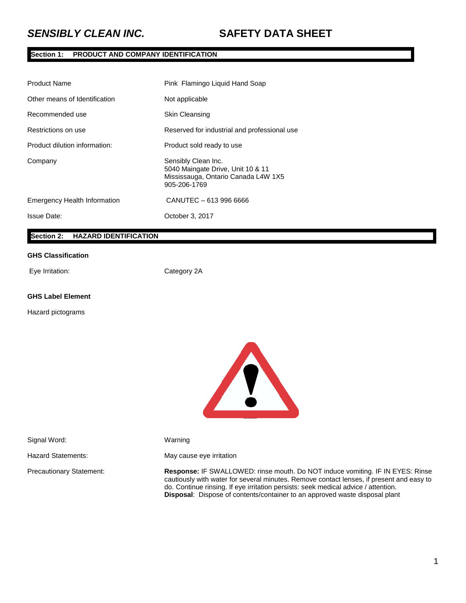## **Section 1: PRODUCT AND COMPANY IDENTIFICATION**

| <b>Product Name</b>                 | Pink Flamingo Liquid Hand Soap                                                                                  |
|-------------------------------------|-----------------------------------------------------------------------------------------------------------------|
| Other means of Identification       | Not applicable                                                                                                  |
| Recommended use                     | <b>Skin Cleansing</b>                                                                                           |
| Restrictions on use                 | Reserved for industrial and professional use                                                                    |
| Product dilution information:       | Product sold ready to use                                                                                       |
| Company                             | Sensibly Clean Inc.<br>5040 Maingate Drive, Unit 10 & 11<br>Mississauga, Ontario Canada L4W 1X5<br>905-206-1769 |
| <b>Emergency Health Information</b> | CANUTEC - 613 996 6666                                                                                          |
| <b>Issue Date:</b>                  | October 3, 2017                                                                                                 |

## **Section 2: HAZARD IDENTIFICATION**

#### **GHS Classification**

Eye Irritation: Category 2A

## **GHS Label Element**

Hazard pictograms



Signal Word: Warning

Hazard Statements: May cause eye irritation

Precautionary Statement: **Response:** IF SWALLOWED: rinse mouth. Do NOT induce vomiting. IF IN EYES: Rinse cautiously with water for several minutes. Remove contact lenses, if present and easy to do. Continue rinsing. If eye irritation persists: seek medical advice / attention. **Disposal**: Dispose of contents/container to an approved waste disposal plant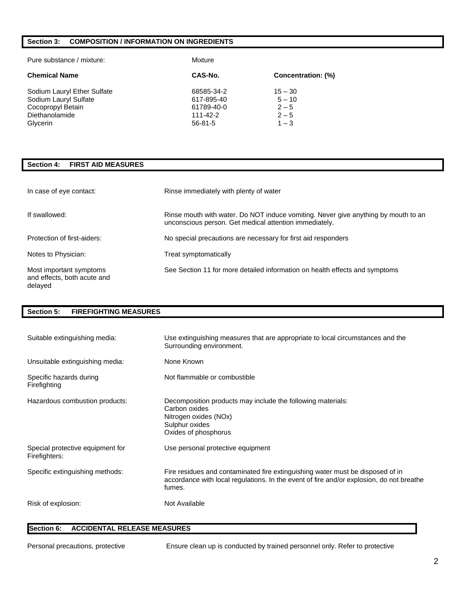## **Section 3: COMPOSITION / INFORMATION ON INGREDIENTS**

| Pure substance / mixture:                                                                               | Mixture                                                             |                                                        |
|---------------------------------------------------------------------------------------------------------|---------------------------------------------------------------------|--------------------------------------------------------|
| <b>Chemical Name</b>                                                                                    | CAS-No.                                                             | Concentration: (%)                                     |
| Sodium Lauryl Ether Sulfate<br>Sodium Lauryl Sulfate<br>Cocopropyl Betain<br>Diethanolamide<br>Glycerin | 68585-34-2<br>617-895-40<br>61789-40-0<br>111-42-2<br>$56 - 81 - 5$ | $15 - 30$<br>$5 - 10$<br>$2 - 5$<br>$2 - 5$<br>$1 - 3$ |

## **Section 4: FIRST AID MEASURES**

| In case of eye contact:                                           | Rinse immediately with plenty of water                                                                                                       |
|-------------------------------------------------------------------|----------------------------------------------------------------------------------------------------------------------------------------------|
| If swallowed:                                                     | Rinse mouth with water. Do NOT induce vomiting. Never give anything by mouth to an<br>unconscious person. Get medical attention immediately. |
| Protection of first-aiders:                                       | No special precautions are necessary for first aid responders                                                                                |
| Notes to Physician:                                               | Treat symptomatically                                                                                                                        |
| Most important symptoms<br>and effects, both acute and<br>delayed | See Section 11 for more detailed information on health effects and symptoms                                                                  |

## **Section 5: FIREFIGHTING MEASURES**

| Suitable extinguishing media:                     | Use extinguishing measures that are appropriate to local circumstances and the<br>Surrounding environment.                                                                           |
|---------------------------------------------------|--------------------------------------------------------------------------------------------------------------------------------------------------------------------------------------|
| Unsuitable extinguishing media:                   | None Known                                                                                                                                                                           |
| Specific hazards during<br>Firefighting           | Not flammable or combustible                                                                                                                                                         |
| Hazardous combustion products:                    | Decomposition products may include the following materials:<br>Carbon oxides<br>Nitrogen oxides (NOx)<br>Sulphur oxides<br>Oxides of phosphorus                                      |
| Special protective equipment for<br>Firefighters: | Use personal protective equipment                                                                                                                                                    |
| Specific extinguishing methods:                   | Fire residues and contaminated fire extinguishing water must be disposed of in<br>accordance with local regulations. In the event of fire and/or explosion, do not breathe<br>fumes. |
| Risk of explosion:                                | Not Available                                                                                                                                                                        |

## **Section 6: ACCIDENTAL RELEASE MEASURES**

Personal precautions, protective Ensure clean up is conducted by trained personnel only. Refer to protective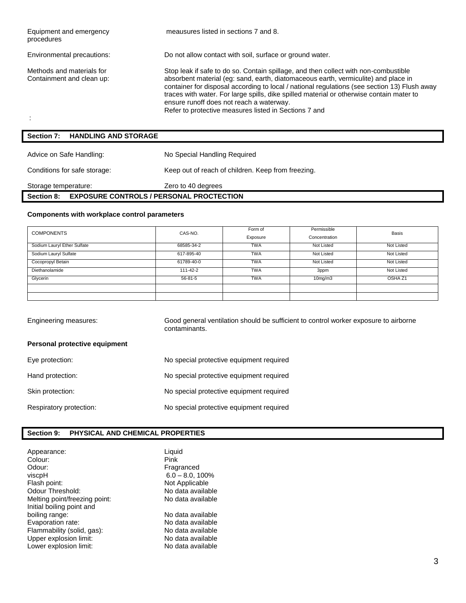| Equipment and emergency<br>procedures                  | meausures listed in sections 7 and 8.                                                                                                                                                                                                                                                                                                                                                                                                                                      |
|--------------------------------------------------------|----------------------------------------------------------------------------------------------------------------------------------------------------------------------------------------------------------------------------------------------------------------------------------------------------------------------------------------------------------------------------------------------------------------------------------------------------------------------------|
| Environmental precautions:                             | Do not allow contact with soil, surface or ground water.                                                                                                                                                                                                                                                                                                                                                                                                                   |
| Methods and materials for<br>Containment and clean up: | Stop leak if safe to do so. Contain spillage, and then collect with non-combustible<br>absorbent material (eq: sand, earth, diatomaceous earth, vermiculite) and place in<br>container for disposal according to local / national regulations (see section 13) Flush away<br>traces with water. For large spills, dike spilled material or otherwise contain mater to<br>ensure runoff does not reach a waterway.<br>Refer to protective measures listed in Sections 7 and |
| <b>HANDLING AND STORAGE</b><br>Section 7:              |                                                                                                                                                                                                                                                                                                                                                                                                                                                                            |
| Advice on Safe Handling:                               | No Special Handling Required                                                                                                                                                                                                                                                                                                                                                                                                                                               |

Storage temperature: <br>
Zero to 40 degrees

**Section 8: EXPOSURE CONTROLS / PERSONAL PROCTECTION**

Conditions for safe storage: Keep out of reach of children. Keep from freezing.

## **Components with workplace control parameters**

| <b>COMPONENTS</b>           | CAS-NO.       | Form of<br>Exposure | Permissible<br>Concentration | <b>Basis</b>       |
|-----------------------------|---------------|---------------------|------------------------------|--------------------|
| Sodium Lauryl Ether Sulfate | 68585-34-2    | <b>TWA</b>          | Not Listed                   | Not Listed         |
| Sodium Lauryl Sulfate       | 617-895-40    | <b>TWA</b>          | Not Listed                   | Not Listed         |
| Cocopropyl Betain           | 61789-40-0    | <b>TWA</b>          | Not Listed                   | Not Listed         |
| Diethanolamide              | 111-42-2      | <b>TWA</b>          | 3ppm                         | Not Listed         |
| Glycerin                    | $56 - 81 - 5$ | <b>TWA</b>          | 10 <sub>mg</sub> /m3         | OSHA <sub>Z1</sub> |
|                             |               |                     |                              |                    |
|                             |               |                     |                              |                    |

| Engineering measures:         | Good general ventilation should be sufficient to control worker exposure to airborne<br>contaminants. |
|-------------------------------|-------------------------------------------------------------------------------------------------------|
| Personal protective equipment |                                                                                                       |
| Eye protection:               | No special protective equipment required                                                              |
| Hand protection:              | No special protective equipment required                                                              |
| Skin protection:              | No special protective equipment required                                                              |
| Respiratory protection:       | No special protective equipment required                                                              |
|                               |                                                                                                       |

## **Section 9: PHYSICAL AND CHEMICAL PROPERTIES**

| Appearance:<br>Colour:<br>Odour:<br>viscpH<br>Flash point:<br>Odour Threshold:<br>Melting point/freezing point:<br>Initial boiling point and | Liquid<br>Pink<br>Fragranced<br>$6.0 - 8.0, 100\%$<br>Not Applicable<br>No data available<br>No data available |
|----------------------------------------------------------------------------------------------------------------------------------------------|----------------------------------------------------------------------------------------------------------------|
| boiling range:                                                                                                                               | No data available                                                                                              |
| Evaporation rate:                                                                                                                            | No data available                                                                                              |
| Flammability (solid, gas):                                                                                                                   | No data available                                                                                              |
| Upper explosion limit:                                                                                                                       | No data available                                                                                              |
| Lower explosion limit:                                                                                                                       | No data available                                                                                              |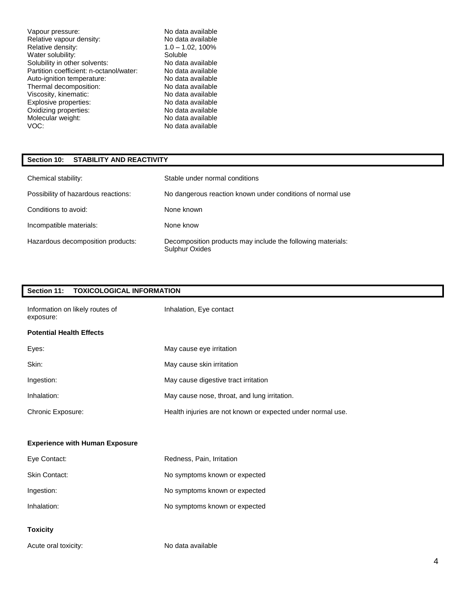Vapour pressure:<br>
Relative vapour density:<br>
No data available<br>
No data available Relative vapour density:<br>
Relative density: 1.0 - 1.02, 100% Relative density:  $1.0 - 1.0$ <br>Water solubility: Soluble Water solubility:<br>
Solubility in other solvents:<br>
Solubility in other solvents:<br>
Solubility in other solvents:<br>
Solubility in other solvents: Solubility in other solvents: No data available<br>
Partition coefficient: n-octanol/water: No data available Partition coefficient: n-octanol/water: Auto-ignition temperature: No data available Thermal decomposition: No data available<br>
Viscosity, kinematic: No data available Viscosity, kinematic: No data available<br>
Explosive properties: No data available Explosive properties: No data available<br>
Oxidizing properties: No data available<br>
No data available Oxidizing properties: No data available<br>
Molecular weight: No data available<br>
No data available Molecular weight:<br>VOC:

No data available

## **Section 10: STABILITY AND REACTIVITY**

| Chemical stability:                 | Stable under normal conditions                                                       |
|-------------------------------------|--------------------------------------------------------------------------------------|
| Possibility of hazardous reactions: | No dangerous reaction known under conditions of normal use                           |
| Conditions to avoid:                | None known                                                                           |
| Incompatible materials:             | None know                                                                            |
| Hazardous decomposition products:   | Decomposition products may include the following materials:<br><b>Sulphur Oxides</b> |

## **Section 11: TOXICOLOGICAL INFORMATION**

| Information on likely routes of<br>exposure: | Inhalation, Eye contact                                     |
|----------------------------------------------|-------------------------------------------------------------|
| <b>Potential Health Effects</b>              |                                                             |
| Eyes:                                        | May cause eye irritation                                    |
| Skin:                                        | May cause skin irritation                                   |
| Ingestion:                                   | May cause digestive tract irritation                        |
| Inhalation:                                  | May cause nose, throat, and lung irritation.                |
| Chronic Exposure:                            | Health injuries are not known or expected under normal use. |
|                                              |                                                             |
| <b>Experience with Human Exposure</b>        |                                                             |
| Eye Contact:                                 | Redness, Pain, Irritation                                   |
| Skin Contact:                                | No symptoms known or expected                               |
| Ingestion:                                   | No symptoms known or expected                               |
| Inhalation:                                  | No symptoms known or expected                               |
| <b>Toxicity</b>                              |                                                             |
| Acute oral toxicity:                         | No data available                                           |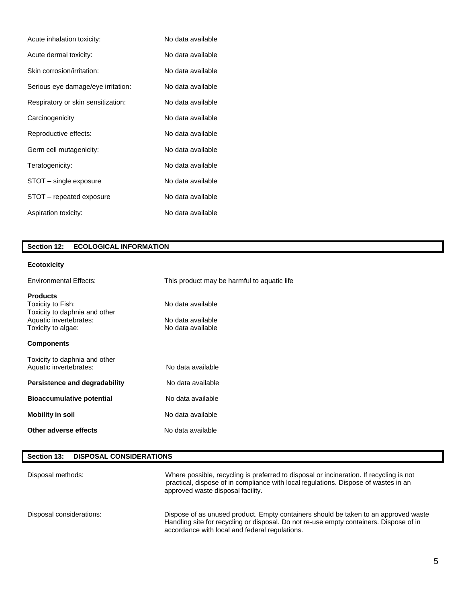| Acute inhalation toxicity:         | No data available |
|------------------------------------|-------------------|
| Acute dermal toxicity:             | No data available |
| Skin corrosion/irritation:         | No data available |
| Serious eye damage/eye irritation: | No data available |
| Respiratory or skin sensitization: | No data available |
| Carcinogenicity                    | No data available |
| Reproductive effects:              | No data available |
| Germ cell mutagenicity:            | No data available |
| Teratogenicity:                    | No data available |
| STOT – single exposure             | No data available |
| STOT – repeated exposure           | No data available |
| Aspiration toxicity:               | No data available |

# **Section 12: ECOLOGICAL INFORMATION**

# **Ecotoxicity**

| <b>Environmental Effects:</b>                                                                                         | This product may be harmful to aquatic life                 |
|-----------------------------------------------------------------------------------------------------------------------|-------------------------------------------------------------|
| <b>Products</b><br>Toxicity to Fish:<br>Toxicity to daphnia and other<br>Aquatic invertebrates:<br>Toxicity to algae: | No data available<br>No data available<br>No data available |
| <b>Components</b>                                                                                                     |                                                             |
| Toxicity to daphnia and other<br>Aquatic invertebrates:                                                               | No data available                                           |
| Persistence and degradability                                                                                         | No data available                                           |
| <b>Bioaccumulative potential</b>                                                                                      | No data available                                           |
| <b>Mobility in soil</b>                                                                                               | No data available                                           |
| Other adverse effects                                                                                                 | No data available                                           |

## **Section 13: DISPOSAL CONSIDERATIONS**

| Disposal methods:        | Where possible, recycling is preferred to disposal or incineration. If recycling is not<br>practical, dispose of in compliance with local regulations. Dispose of wastes in an<br>approved waste disposal facility.             |
|--------------------------|---------------------------------------------------------------------------------------------------------------------------------------------------------------------------------------------------------------------------------|
| Disposal considerations: | Dispose of as unused product. Empty containers should be taken to an approved waste<br>Handling site for recycling or disposal. Do not re-use empty containers. Dispose of in<br>accordance with local and federal regulations. |